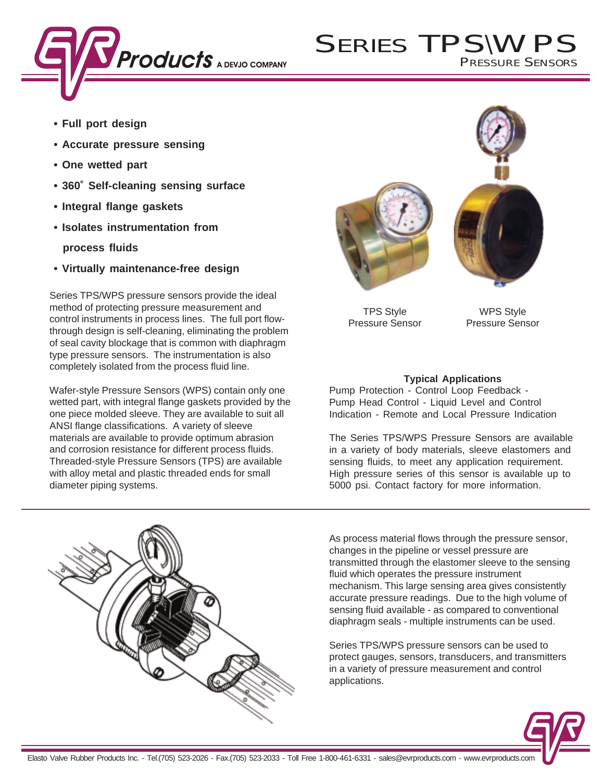

# SERIES TPSIWPS PRESSURE SENSORS

- **Full port design**
- **Accurate pressure sensing**
- **One wetted part**
- **360˚ Self-cleaning sensing surface**
- **Integral flange gaskets**
- **Isolates instrumentation from**

 **process fluids**

**• Virtually maintenance-free design**

Series TPS/WPS pressure sensors provide the ideal method of protecting pressure measurement and control instruments in process lines. The full port flowthrough design is self-cleaning, eliminating the problem of seal cavity blockage that is common with diaphragm type pressure sensors. The instrumentation is also completely isolated from the process fluid line.

Wafer-style Pressure Sensors (WPS) contain only one wetted part, with integral flange gaskets provided by the one piece molded sleeve. They are available to suit all ANSI flange classifications. A variety of sleeve materials are available to provide optimum abrasion and corrosion resistance for different process fluids. Threaded-style Pressure Sensors (TPS) are available with alloy metal and plastic threaded ends for small diameter piping systems.





TPS Style Pressure Sensor

WPS Style Pressure Sensor

# **Typical Applications**

Pump Protection - Control Loop Feedback - Pump Head Control - Liquid Level and Control Indication - Remote and Local Pressure Indication

The Series TPS/WPS Pressure Sensors are available in a variety of body materials, sleeve elastomers and sensing fluids, to meet any application requirement. High pressure series of this sensor is available up to 5000 psi. Contact factory for more information.



Series TPS/WPS pressure sensors can be used to protect gauges, sensors, transducers, and transmitters in a variety of pressure measurement and control applications.